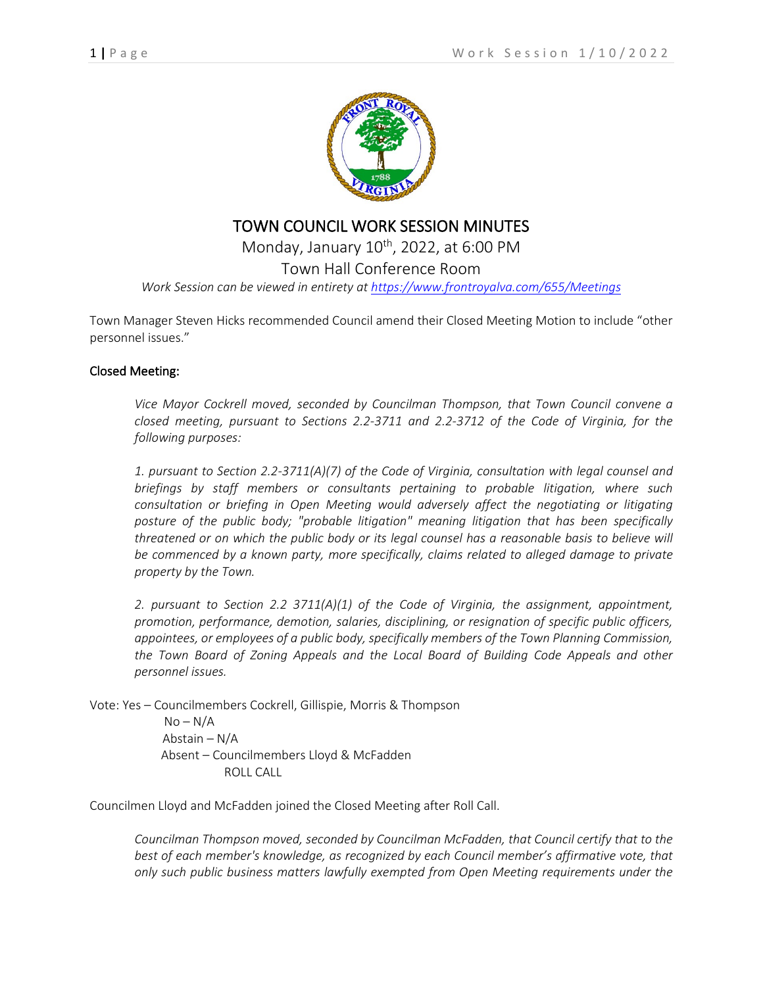

## TOWN COUNCIL WORK SESSION MINUTES

Monday, January  $10^{th}$ , 2022, at 6:00 PM Town Hall Conference Room *Work Session can be viewed in entirety at<https://www.frontroyalva.com/655/Meetings>*

Town Manager Steven Hicks recommended Council amend their Closed Meeting Motion to include "other personnel issues."

## Closed Meeting:

*Vice Mayor Cockrell moved, seconded by Councilman Thompson, that Town Council convene a closed meeting, pursuant to Sections 2.2-3711 and 2.2-3712 of the Code of Virginia, for the following purposes:* 

*1. pursuant to Section 2.2-3711(A)(7) of the Code of Virginia, consultation with legal counsel and briefings by staff members or consultants pertaining to probable litigation, where such consultation or briefing in Open Meeting would adversely affect the negotiating or litigating posture of the public body; "probable litigation" meaning litigation that has been specifically threatened or on which the public body or its legal counsel has a reasonable basis to believe will be commenced by a known party, more specifically, claims related to alleged damage to private property by the Town.*

*2. pursuant to Section 2.2 3711(A)(1) of the Code of Virginia, the assignment, appointment, promotion, performance, demotion, salaries, disciplining, or resignation of specific public officers, appointees, or employees of a public body, specifically members of the Town Planning Commission, the Town Board of Zoning Appeals and the Local Board of Building Code Appeals and other personnel issues.*

Vote: Yes – Councilmembers Cockrell, Gillispie, Morris & Thompson  $No-N/A$  Abstain – N/A Absent – Councilmembers Lloyd & McFadden ROLL CALL

Councilmen Lloyd and McFadden joined the Closed Meeting after Roll Call.

*Councilman Thompson moved, seconded by Councilman McFadden, that Council certify that to the best of each member's knowledge, as recognized by each Council member's affirmative vote, that only such public business matters lawfully exempted from Open Meeting requirements under the*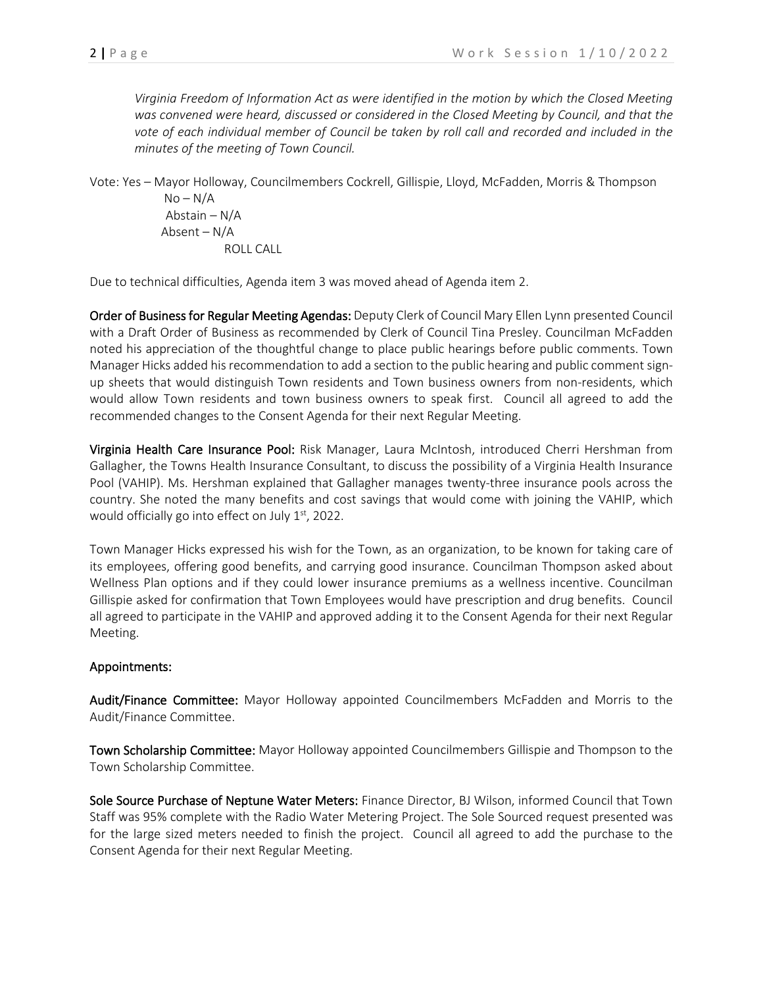*Virginia Freedom of Information Act as were identified in the motion by which the Closed Meeting was convened were heard, discussed or considered in the Closed Meeting by Council, and that the vote of each individual member of Council be taken by roll call and recorded and included in the minutes of the meeting of Town Council.*

Vote: Yes – Mayor Holloway, Councilmembers Cockrell, Gillispie, Lloyd, McFadden, Morris & Thompson  $No-N/A$  Abstain – N/A Absent – N/A

ROLL CALL

Due to technical difficulties, Agenda item 3 was moved ahead of Agenda item 2.

Order of Business for Regular Meeting Agendas: Deputy Clerk of Council Mary Ellen Lynn presented Council with a Draft Order of Business as recommended by Clerk of Council Tina Presley. Councilman McFadden noted his appreciation of the thoughtful change to place public hearings before public comments. Town Manager Hicks added his recommendation to add a section to the public hearing and public comment signup sheets that would distinguish Town residents and Town business owners from non-residents, which would allow Town residents and town business owners to speak first. Council all agreed to add the recommended changes to the Consent Agenda for their next Regular Meeting.

Virginia Health Care Insurance Pool: Risk Manager, Laura McIntosh, introduced Cherri Hershman from Gallagher, the Towns Health Insurance Consultant, to discuss the possibility of a Virginia Health Insurance Pool (VAHIP). Ms. Hershman explained that Gallagher manages twenty-three insurance pools across the country. She noted the many benefits and cost savings that would come with joining the VAHIP, which would officially go into effect on July  $1<sup>st</sup>$ , 2022.

Town Manager Hicks expressed his wish for the Town, as an organization, to be known for taking care of its employees, offering good benefits, and carrying good insurance. Councilman Thompson asked about Wellness Plan options and if they could lower insurance premiums as a wellness incentive. Councilman Gillispie asked for confirmation that Town Employees would have prescription and drug benefits. Council all agreed to participate in the VAHIP and approved adding it to the Consent Agenda for their next Regular Meeting.

## Appointments:

Audit/Finance Committee: Mayor Holloway appointed Councilmembers McFadden and Morris to the Audit/Finance Committee.

Town Scholarship Committee: Mayor Holloway appointed Councilmembers Gillispie and Thompson to the Town Scholarship Committee.

Sole Source Purchase of Neptune Water Meters: Finance Director, BJ Wilson, informed Council that Town Staff was 95% complete with the Radio Water Metering Project. The Sole Sourced request presented was for the large sized meters needed to finish the project. Council all agreed to add the purchase to the Consent Agenda for their next Regular Meeting.